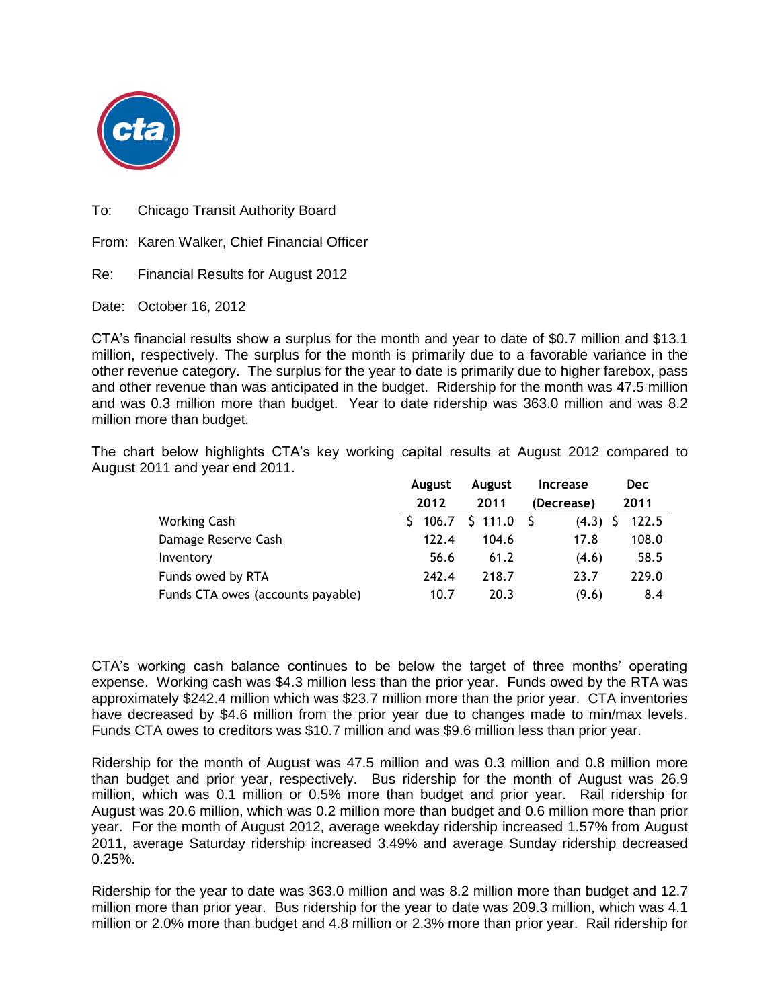

To: Chicago Transit Authority Board

From: Karen Walker, Chief Financial Officer

Re: Financial Results for August 2012

Date: October 16, 2012

CTA's financial results show a surplus for the month and year to date of \$0.7 million and \$13.1 million, respectively. The surplus for the month is primarily due to a favorable variance in the other revenue category. The surplus for the year to date is primarily due to higher farebox, pass and other revenue than was anticipated in the budget. Ridership for the month was 47.5 million and was 0.3 million more than budget. Year to date ridership was 363.0 million and was 8.2 million more than budget.

The chart below highlights CTA's key working capital results at August 2012 compared to August 2011 and year end 2011.

|                                   | <b>August</b> | <b>August</b> | <b>Increase</b> | <b>Dec</b> |
|-----------------------------------|---------------|---------------|-----------------|------------|
|                                   | 2012          | 2011          | (Decrease)      | 2011       |
| Working Cash                      | \$106.7       | \$111.0       | (4.3)           | 122.5      |
| Damage Reserve Cash               | 122.4         | 104.6         | 17.8            | 108.0      |
| Inventory                         | 56.6          | 61.2          | (4.6)           | 58.5       |
| Funds owed by RTA                 | 242.4         | 218.7         | 23.7            | 229.0      |
| Funds CTA owes (accounts payable) | 10.7          | 20.3          | (9.6)           | 8.4        |

CTA's working cash balance continues to be below the target of three months' operating expense. Working cash was \$4.3 million less than the prior year. Funds owed by the RTA was approximately \$242.4 million which was \$23.7 million more than the prior year. CTA inventories have decreased by \$4.6 million from the prior year due to changes made to min/max levels. Funds CTA owes to creditors was \$10.7 million and was \$9.6 million less than prior year.

Ridership for the month of August was 47.5 million and was 0.3 million and 0.8 million more than budget and prior year, respectively. Bus ridership for the month of August was 26.9 million, which was 0.1 million or 0.5% more than budget and prior year. Rail ridership for August was 20.6 million, which was 0.2 million more than budget and 0.6 million more than prior year. For the month of August 2012, average weekday ridership increased 1.57% from August 2011, average Saturday ridership increased 3.49% and average Sunday ridership decreased 0.25%.

Ridership for the year to date was 363.0 million and was 8.2 million more than budget and 12.7 million more than prior year. Bus ridership for the year to date was 209.3 million, which was 4.1 million or 2.0% more than budget and 4.8 million or 2.3% more than prior year. Rail ridership for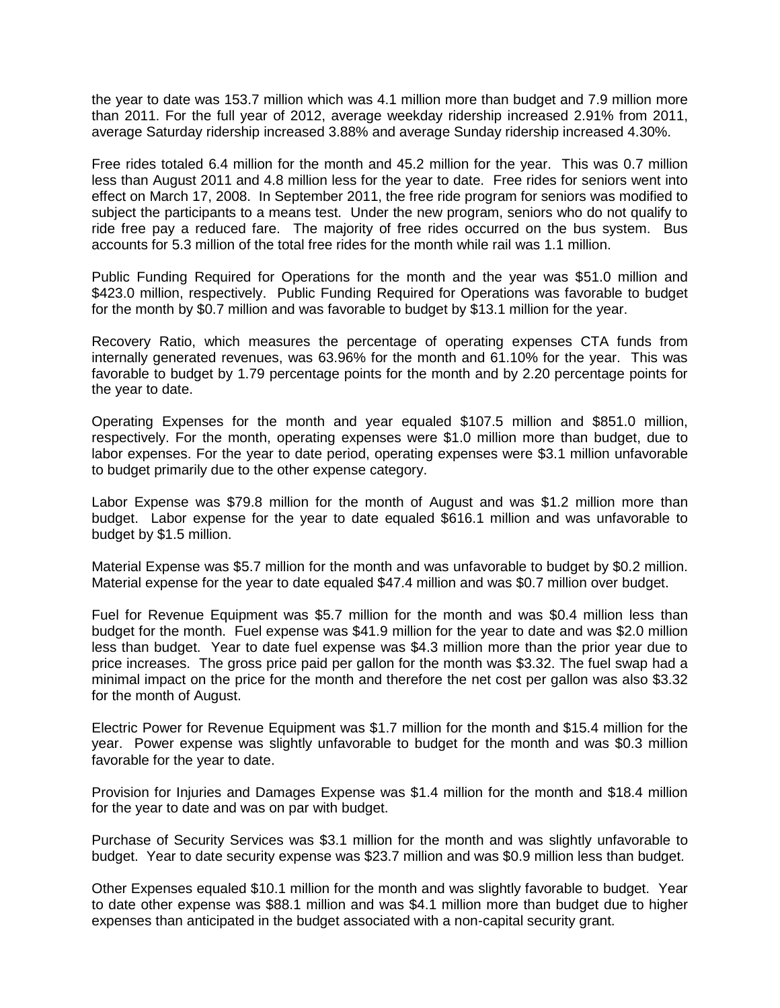the year to date was 153.7 million which was 4.1 million more than budget and 7.9 million more than 2011. For the full year of 2012, average weekday ridership increased 2.91% from 2011, average Saturday ridership increased 3.88% and average Sunday ridership increased 4.30%.

Free rides totaled 6.4 million for the month and 45.2 million for the year. This was 0.7 million less than August 2011 and 4.8 million less for the year to date. Free rides for seniors went into effect on March 17, 2008. In September 2011, the free ride program for seniors was modified to subject the participants to a means test. Under the new program, seniors who do not qualify to ride free pay a reduced fare. The majority of free rides occurred on the bus system. Bus accounts for 5.3 million of the total free rides for the month while rail was 1.1 million.

Public Funding Required for Operations for the month and the year was \$51.0 million and \$423.0 million, respectively. Public Funding Required for Operations was favorable to budget for the month by \$0.7 million and was favorable to budget by \$13.1 million for the year.

Recovery Ratio, which measures the percentage of operating expenses CTA funds from internally generated revenues, was 63.96% for the month and 61.10% for the year. This was favorable to budget by 1.79 percentage points for the month and by 2.20 percentage points for the year to date.

Operating Expenses for the month and year equaled \$107.5 million and \$851.0 million, respectively. For the month, operating expenses were \$1.0 million more than budget, due to labor expenses. For the year to date period, operating expenses were \$3.1 million unfavorable to budget primarily due to the other expense category.

Labor Expense was \$79.8 million for the month of August and was \$1.2 million more than budget. Labor expense for the year to date equaled \$616.1 million and was unfavorable to budget by \$1.5 million.

Material Expense was \$5.7 million for the month and was unfavorable to budget by \$0.2 million. Material expense for the year to date equaled \$47.4 million and was \$0.7 million over budget.

Fuel for Revenue Equipment was \$5.7 million for the month and was \$0.4 million less than budget for the month. Fuel expense was \$41.9 million for the year to date and was \$2.0 million less than budget. Year to date fuel expense was \$4.3 million more than the prior year due to price increases. The gross price paid per gallon for the month was \$3.32. The fuel swap had a minimal impact on the price for the month and therefore the net cost per gallon was also \$3.32 for the month of August.

Electric Power for Revenue Equipment was \$1.7 million for the month and \$15.4 million for the year. Power expense was slightly unfavorable to budget for the month and was \$0.3 million favorable for the year to date.

Provision for Injuries and Damages Expense was \$1.4 million for the month and \$18.4 million for the year to date and was on par with budget.

Purchase of Security Services was \$3.1 million for the month and was slightly unfavorable to budget. Year to date security expense was \$23.7 million and was \$0.9 million less than budget.

Other Expenses equaled \$10.1 million for the month and was slightly favorable to budget. Year to date other expense was \$88.1 million and was \$4.1 million more than budget due to higher expenses than anticipated in the budget associated with a non-capital security grant.